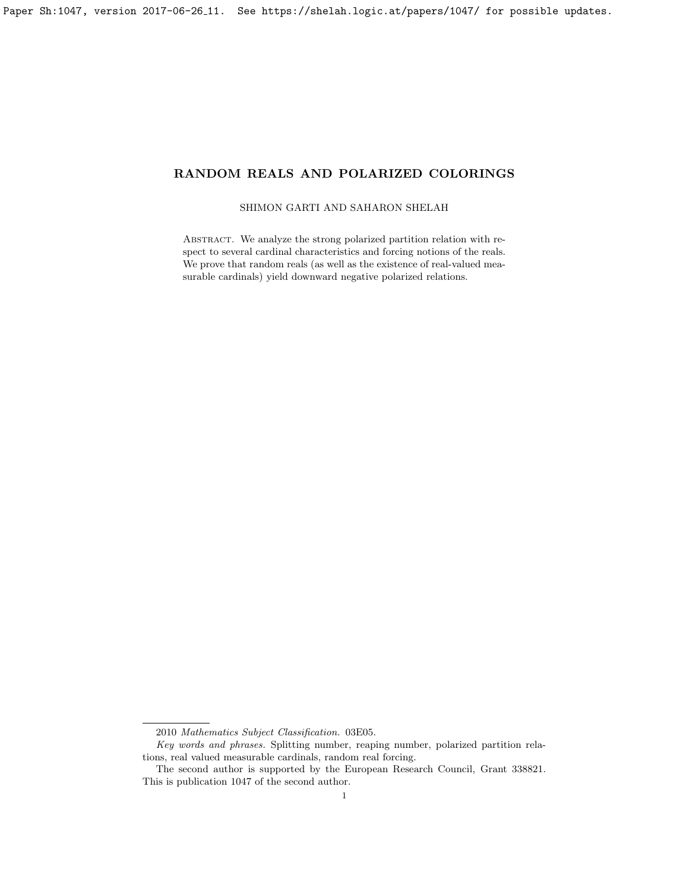# SHIMON GARTI AND SAHARON SHELAH

ABSTRACT. We analyze the strong polarized partition relation with respect to several cardinal characteristics and forcing notions of the reals. We prove that random reals (as well as the existence of real-valued measurable cardinals) yield downward negative polarized relations.

<sup>2010</sup> Mathematics Subject Classification. 03E05.

Key words and phrases. Splitting number, reaping number, polarized partition relations, real valued measurable cardinals, random real forcing.

The second author is supported by the European Research Council, Grant 338821. This is publication 1047 of the second author.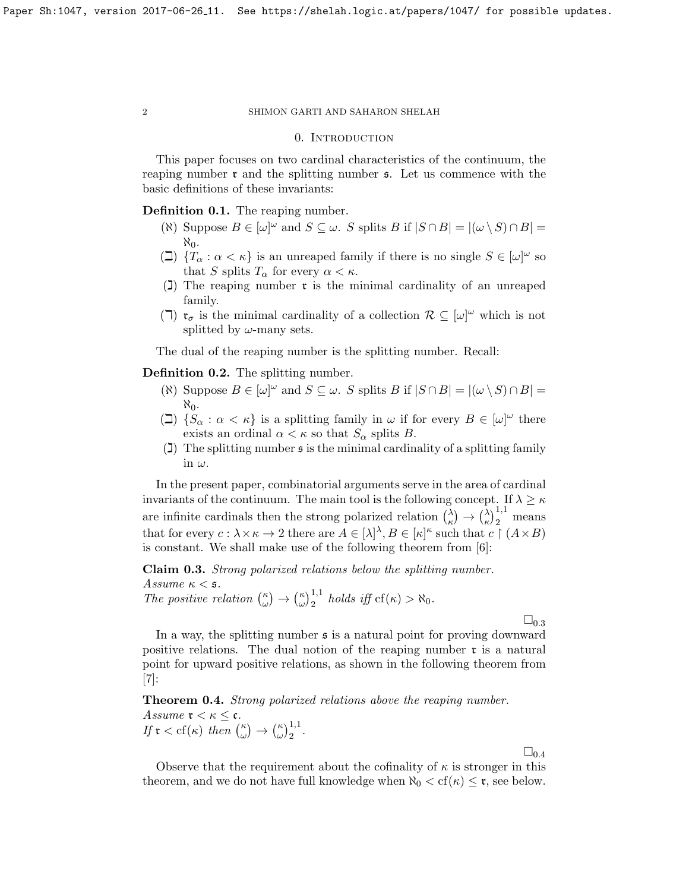### 0. INTRODUCTION

This paper focuses on two cardinal characteristics of the continuum, the reaping number  $\mathfrak r$  and the splitting number  $\mathfrak s$ . Let us commence with the basic definitions of these invariants:

Definition 0.1. The reaping number.

- ( $\mathfrak{R}$ ) Suppose  $B \in [\omega]^\omega$  and  $S \subseteq \omega$ . S splits B if  $|S \cap B| = |(\omega \setminus S) \cap B|$  $\aleph_0$ .
- ( $\Box$ )  $\{T_\alpha : \alpha < \kappa\}$  is an unreaped family if there is no single  $S \in [\omega]^\omega$  so that S splits  $T_{\alpha}$  for every  $\alpha < \kappa$ .
- $\overline{1}$ ) The reaping number **r** is the minimal cardinality of an unreaped family.
- ( $\Box$ )  $\mathfrak{r}_{\sigma}$  is the minimal cardinality of a collection  $\mathcal{R} \subseteq [\omega]^{\omega}$  which is not splitted by  $\omega$ -many sets.

The dual of the reaping number is the splitting number. Recall:

Definition 0.2. The splitting number.

- ( $\mathfrak{R}$ ) Suppose  $B \in [\omega]^\omega$  and  $S \subseteq \omega$ . S splits B if  $|S \cap B| = |(\omega \setminus S) \cap B|$ እ''
- ( $\Box$ )  $\{S_\alpha : \alpha < \kappa\}$  is a splitting family in  $\omega$  if for every  $B \in [\omega]^\omega$  there exists an ordinal  $\alpha < \kappa$  so that  $S_{\alpha}$  splits B.
- (1) The splitting number  $\mathfrak s$  is the minimal cardinality of a splitting family in  $\omega$ .

In the present paper, combinatorial arguments serve in the area of cardinal invariants of the continuum. The main tool is the following concept. If  $\lambda \geq \kappa$ are infinite cardinals then the strong polarized relation  $\binom{\lambda}{k}$  $\binom{\lambda}{\kappa} \rightarrow \binom{\lambda}{\kappa}$  $\left(\frac{\lambda}{\kappa}\right)_2^{1,1}$  means that for every  $c: \lambda \times \kappa \to 2$  there are  $A \in [\lambda]^{\lambda}, B \in [\kappa]^{\kappa}$  such that  $c \restriction (A \times B)$ is constant. We shall make use of the following theorem from [\[6\]](#page-11-0):

<span id="page-1-0"></span>Claim 0.3. Strong polarized relations below the splitting number. Assume  $\kappa <$  5.

The positive relation  $\binom{\kappa}{\omega}$  $\binom{\kappa}{\omega} \rightarrow \binom{\kappa}{\omega}$  $\int_{\omega}^{\kappa}$ <sub>2</sub><sup>1,1</sup> holds iff cf( $\kappa$ ) >  $\aleph_0$ .

 $\square_{0.3}$  $\square_{0.3}$  $\square_{0.3}$ 

In a way, the splitting number  $\boldsymbol{\epsilon}$  is a natural point for proving downward positive relations. The dual notion of the reaping number  $\mathfrak{r}$  is a natural point for upward positive relations, as shown in the following theorem from  $|7|$ :

<span id="page-1-1"></span>Theorem 0.4. Strong polarized relations above the reaping number. Assume  $\mathfrak{r} < \kappa \leq \mathfrak{c}$ . If  $\mathfrak{r} < \text{cf}(\kappa)$  then  $\binom{\kappa}{\omega}$  $\binom{\kappa}{\omega} \rightarrow \binom{\kappa}{\omega}$  $\int_{\omega}^{\kappa}$ ) $\frac{1}{2}$ .

 $\square_{0.4}$  $\square_{0.4}$  $\square_{0.4}$ 

Observe that the requirement about the cofinality of  $\kappa$  is stronger in this theorem, and we do not have full knowledge when  $\aleph_0 < \text{cf}(\kappa) \leq \mathfrak{r}$ , see below.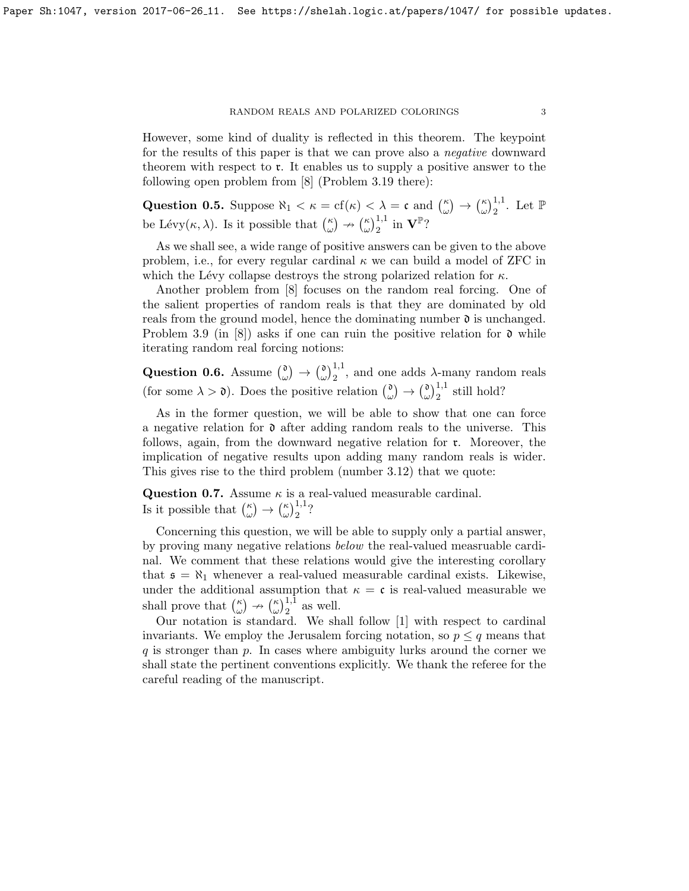However, some kind of duality is reflected in this theorem. The keypoint for the results of this paper is that we can prove also a negative downward theorem with respect to r. It enables us to supply a positive answer to the following open problem from [\[8\]](#page-11-2) (Problem 3.19 there):

Question 0.5. Suppose  $\aleph_1 < \kappa = \text{cf}(\kappa) < \lambda = \mathfrak{c}$  and  $\binom{\kappa}{\omega}$  $\binom{\kappa}{\omega} \rightarrow \binom{\kappa}{\omega}$  $\big(\begin{smallmatrix} \kappa \\ \omega \end{smallmatrix}\big)^{1,1}$ . Let  $\mathbb P$ be Lévy $(\kappa, \lambda)$ . Is it possible that  $\binom{\kappa}{\omega}$  $\binom{\kappa}{\omega} \nrightarrow \binom{\kappa}{\omega}$  $(\omega)_{2}^{1,1}$  in  $\mathbf{V}^{\mathbb{P}}$ ?

As we shall see, a wide range of positive answers can be given to the above problem, i.e., for every regular cardinal  $\kappa$  we can build a model of ZFC in which the Lévy collapse destroys the strong polarized relation for  $\kappa$ .

Another problem from [\[8\]](#page-11-2) focuses on the random real forcing. One of the salient properties of random reals is that they are dominated by old reals from the ground model, hence the dominating number  $\mathfrak d$  is unchanged. Problem 3.9 (in [\[8\]](#page-11-2)) asks if one can ruin the positive relation for  $\mathfrak d$  while iterating random real forcing notions:

Question 0.6. Assume  $\binom{0}{n}$  $\begin{array}{c} \n\omega \n\end{array} \rightarrow \begin{array}{c} \n\omega \n\end{array}$  $\omega_{\omega}^{0}$ ,<sup>1,1</sup>, and one adds  $\lambda$ -many random reals (for some  $\lambda > \mathfrak{d}$ ). Does the positive relation  $\binom{\mathfrak{d}}{\mathfrak{d}}$  $\begin{smallmatrix} \mathfrak{d} \ \omega \end{smallmatrix} \rightarrow \begin{smallmatrix} \mathfrak{d} \ \omega \end{smallmatrix}$  $\binom{1}{\omega}$ <sup>1,1</sup> still hold?

As in the former question, we will be able to show that one can force a negative relation for  $\mathfrak d$  after adding random reals to the universe. This follows, again, from the downward negative relation for r. Moreover, the implication of negative results upon adding many random reals is wider. This gives rise to the third problem (number 3.12) that we quote:

<span id="page-2-0"></span>**Question 0.7.** Assume  $\kappa$  is a real-valued measurable cardinal. Is it possible that  $\binom{\kappa}{\omega}$  $\binom{\kappa}{\omega} \rightarrow \binom{\kappa}{\omega}$  $(\omega)\frac{1}{2}$ ?

Concerning this question, we will be able to supply only a partial answer, by proving many negative relations below the real-valued measruable cardinal. We comment that these relations would give the interesting corollary that  $\mathfrak{s} = \aleph_1$  whenever a real-valued measurable cardinal exists. Likewise, under the additional assumption that  $\kappa = \mathfrak{c}$  is real-valued measurable we shall prove that  $\binom{\kappa}{\omega}$  $\binom{\kappa}{\omega} \nrightarrow \binom{\kappa}{\omega}$  $(\omega)\frac{1}{2}$  as well.

Our notation is standard. We shall follow [\[1\]](#page-11-3) with respect to cardinal invariants. We employ the Jerusalem forcing notation, so  $p \leq q$  means that  $q$  is stronger than  $p$ . In cases where ambiguity lurks around the corner we shall state the pertinent conventions explicitly. We thank the referee for the careful reading of the manuscript.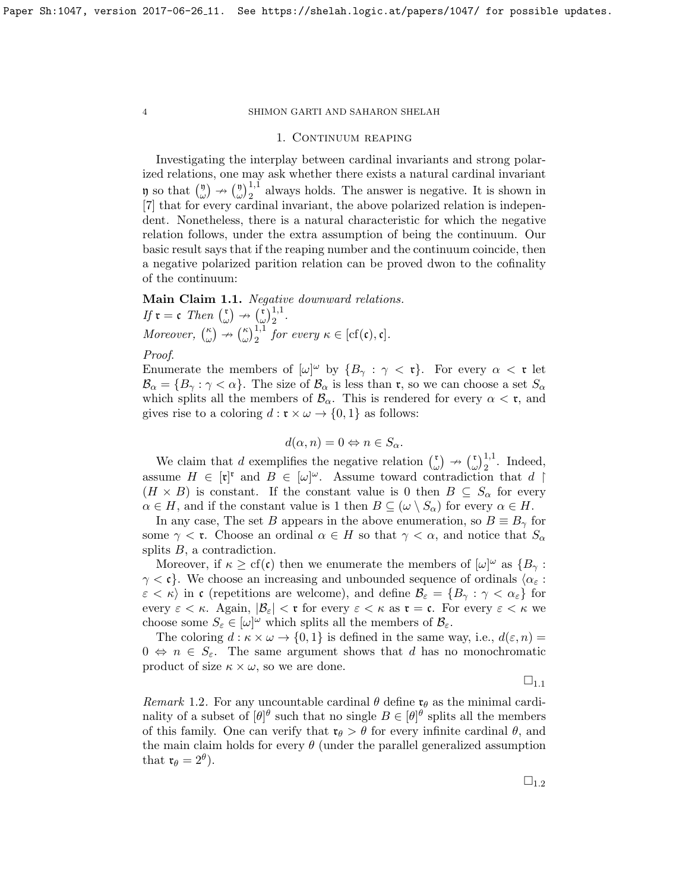#### 1. CONTINUUM REAPING

Investigating the interplay between cardinal invariants and strong polarized relations, one may ask whether there exists a natural cardinal invariant  $\mathfrak y$  so that  $\binom{\mathfrak y}{\omega}$  $\binom{\mathfrak{y}}{\omega} \rightarrow \binom{\mathfrak{y}}{\omega}$  $\omega^{(1)}_{\omega}$ <sup>1,1</sup> always holds. The answer is negative. It is shown in [\[7\]](#page-11-1) that for every cardinal invariant, the above polarized relation is independent. Nonetheless, there is a natural characteristic for which the negative relation follows, under the extra assumption of being the continuum. Our basic result says that if the reaping number and the continuum coincide, then a negative polarized parition relation can be proved dwon to the cofinality of the continuum:

<span id="page-3-0"></span>Main Claim 1.1. Negative downward relations. If  $\mathfrak{r} = \mathfrak{c}$  Then  $\int_{a}^{\mathfrak{r}}$  $\begin{pmatrix} \mathfrak{r} \\ \omega \end{pmatrix} \nrightarrow \begin{pmatrix} \mathfrak{r} \\ \omega \end{pmatrix}$  $\left(\frac{\mathfrak{r}}{\omega}\right)_{2}^{1,1}.$ Moreover,  $\binom{\kappa}{\omega}$  $\binom{\kappa}{\omega} \nrightarrow \binom{\kappa}{\omega}$  $\big(\begin{array}{c}\kappa \\ \omega\end{array}\big)^{1,1}$  for every  $\kappa \in [\mathrm{cf}(\mathfrak{c}), \mathfrak{c}].$ 

# Proof.

Enumerate the members of  $[\omega]^\omega$  by  $\{B_\gamma : \gamma < \mathfrak{r}\}\$ . For every  $\alpha < \mathfrak{r}$  let  $\mathcal{B}_{\alpha} = \{B_{\gamma} : \gamma < \alpha\}.$  The size of  $\mathcal{B}_{\alpha}$  is less than **r**, so we can choose a set  $S_{\alpha}$ which splits all the members of  $\mathcal{B}_{\alpha}$ . This is rendered for every  $\alpha < \mathfrak{r}$ , and gives rise to a coloring  $d : \mathfrak{r} \times \omega \to \{0, 1\}$  as follows:

$$
d(\alpha, n) = 0 \Leftrightarrow n \in S_{\alpha}.
$$

We claim that d exemplifies the negative relation  $\binom{r}{r}$  $\begin{pmatrix} \mathfrak{r} \\ \omega \end{pmatrix} \rightarrow \begin{pmatrix} \mathfrak{r} \\ \omega \end{pmatrix}$  $\big(\begin{matrix} \mathfrak{r} \\ \omega \end{matrix}\big)^{1,1}$ . Indeed, assume  $H \in [\mathfrak{r}]^{\mathfrak{r}}$  and  $B \in [\omega]^{\omega}$ . Assume toward contradiction that  $d \upharpoonright$  $(H \times B)$  is constant. If the constant value is 0 then  $B \subseteq S_{\alpha}$  for every  $\alpha \in H$ , and if the constant value is 1 then  $B \subseteq (\omega \setminus S_\alpha)$  for every  $\alpha \in H$ .

In any case, The set B appears in the above enumeration, so  $B \equiv B_{\gamma}$  for some  $\gamma < \mathfrak{r}$ . Choose an ordinal  $\alpha \in H$  so that  $\gamma < \alpha$ , and notice that  $S_{\alpha}$ splits  $B$ , a contradiction.

Moreover, if  $\kappa \geq cf(\mathfrak{c})$  then we enumerate the members of  $[\omega]^\omega$  as  $\{B_\gamma :$  $\gamma < \mathfrak{c}$ . We choose an increasing and unbounded sequence of ordinals  $\langle \alpha_{\varepsilon} :$  $\varepsilon < \kappa$ ) in c (repetitions are welcome), and define  $\mathcal{B}_{\varepsilon} = \{B_{\gamma} : \gamma < \alpha_{\varepsilon}\}\)$  for every  $\varepsilon < \kappa$ . Again,  $|\mathcal{B}_{\varepsilon}| < \mathfrak{r}$  for every  $\varepsilon < \kappa$  as  $\mathfrak{r} = \mathfrak{c}$ . For every  $\varepsilon < \kappa$  we choose some  $S_{\varepsilon} \in [\omega]^{\omega}$  which splits all the members of  $\mathcal{B}_{\varepsilon}$ .

The coloring  $d : \kappa \times \omega \to \{0,1\}$  is defined in the same way, i.e.,  $d(\varepsilon, n) =$  $0 \Leftrightarrow n \in S_{\varepsilon}$ . The same argument shows that d has no monochromatic product of size  $\kappa \times \omega$ , so we are done.

 $\sqcup_{1.1}$  $\sqcup_{1.1}$  $\sqcup_{1.1}$ 

<span id="page-3-1"></span>Remark 1.2. For any uncountable cardinal  $\theta$  define  $\mathfrak{r}_{\theta}$  as the minimal cardinality of a subset of  $[\theta]^\theta$  such that no single  $B \in [\theta]^\theta$  splits all the members of this family. One can verify that  $\mathfrak{r}_{\theta} > \theta$  for every infinite cardinal  $\theta$ , and the main claim holds for every  $\theta$  (under the parallel generalized assumption that  $\mathfrak{r}_{\theta} = 2^{\theta}$ ).

 $\square_{1.2}$  $\square_{1.2}$  $\square_{1.2}$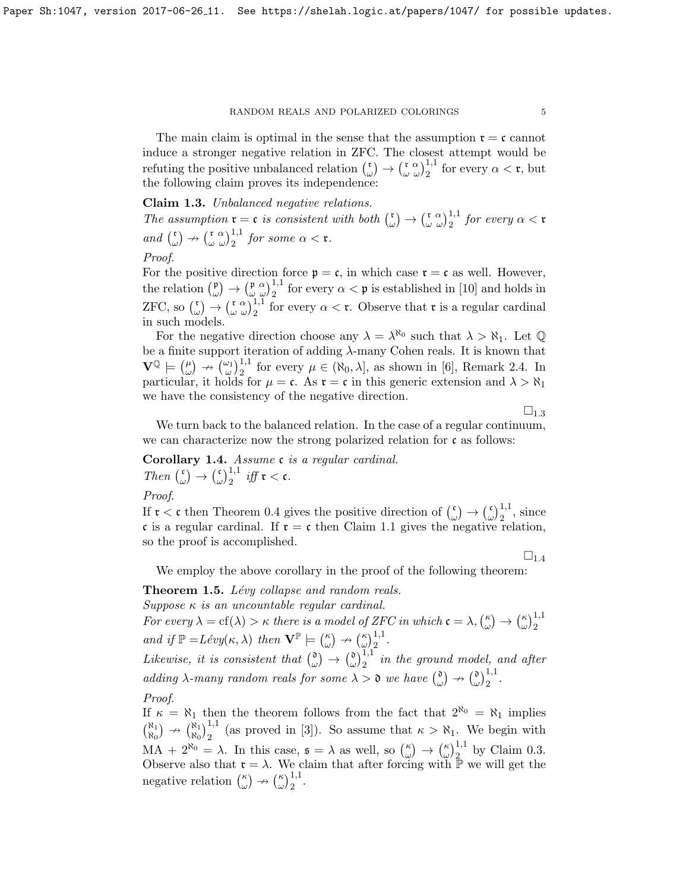The main claim is optimal in the sense that the assumption  $\mathfrak{r} = \mathfrak{c}$  cannot induce a stronger negative relation in ZFC. The closest attempt would be refuting the positive unbalanced relation  $\binom{r}{r}$  $\binom{\mathfrak{r}}{\omega} \rightarrow \binom{\mathfrak{r}}{\omega} \binom{1}{2}^{1,1}$  for every  $\alpha < \mathfrak{r}$ , but the following claim proves its independence:

<span id="page-4-0"></span>Claim 1.3. Unbalanced negative relations.

The assumption  $\mathfrak{r} = \mathfrak{c}$  is consistent with both  $\binom{\mathfrak{r}}{k}$  $\binom{\mathfrak{r}}{\omega} \rightarrow \binom{\mathfrak{r}}{\omega} \frac{\alpha}{2} \frac{1}{2}$  for every  $\alpha < \mathfrak{r}$ and  $\binom{r}{r}$  $\binom{\mathfrak{r}}{\omega} \nrightarrow \binom{\mathfrak{r}}{\omega} \binom{1,1}{2}$  for some  $\alpha < \mathfrak{r}$ . Proof.

For the positive direction force  $p = c$ , in which case  $r = c$  as well. However, the relation  $\binom{p}{q}$  $(\begin{array}{c} \n\mathfrak{p} \\ \n\omega \end{array}) \rightarrow (\begin{array}{c} \n\mathfrak{p} \\ \n\omega \end{array})$   $\frac{1}{2}$  for every  $\alpha < \mathfrak{p}$  is established in [\[10\]](#page-11-4) and holds in ZFC, so  $\binom{r}{r}$  $\begin{pmatrix} \n\mathfrak{r} \\ \n\omega \n\end{pmatrix}$   $\rightarrow$   $\begin{pmatrix} \n\mathfrak{r} & \alpha \\ \n\omega & \alpha \n\end{pmatrix}$  for every  $\alpha < \mathfrak{r}$ . Observe that  $\mathfrak{r}$  is a regular cardinal in such models.

For the negative direction choose any  $\lambda = \lambda^{\aleph_0}$  such that  $\lambda > \aleph_1$ . Let  $\mathbb Q$ be a finite support iteration of adding  $\lambda$ -many Cohen reals. It is known that  $\mathbf{V}^{\mathbb{Q}} \models \left( \begin{smallmatrix} \mu \\ \omega \end{smallmatrix} \right)$  $\binom{\mu}{\omega} \nrightarrow \binom{\omega_1}{\omega_2}$  for every  $\mu \in (\aleph_0, \lambda]$ , as shown in [\[6\]](#page-11-0), Remark 2.4. In particular, it holds for  $\mu = \mathfrak{c}$ . As  $\mathfrak{r} = \mathfrak{c}$  in this generic extension and  $\lambda > \aleph_1$ we have the consistency of the negative direction.

 $\square_{1.3}$  $\square_{1.3}$  $\square_{1.3}$ 

We turn back to the balanced relation. In the case of a regular continuum, we can characterize now the strong polarized relation for  $\mathfrak c$  as follows:

<span id="page-4-1"></span>Corollary 1.4. Assume c is a regular cardinal. Then  $\binom{c}{c}$  $\begin{array}{c} \begin{array}{c} \n\epsilon \\ \n\omega \n\end{array} \n\end{array} \n\rightarrow \begin{array}{c} \n\epsilon \\ \n\omega \n\end{array}$  $\int_{\omega}^{\mathfrak{c}}\lambda_{2}^{1,1}$  iff  $\mathfrak{r}<\mathfrak{c}$ .

Proof.

If  $\mathfrak{r} < \mathfrak{c}$  then Theorem [0.4](#page-1-1) gives the positive direction of  $\binom{\mathfrak{c}}{\mathfrak{c}}$  $\begin{matrix} \mathfrak{c} \\ \omega \end{matrix} \rightarrow \begin{matrix} \mathfrak{c} \\ \omega \end{matrix}$  $\left(\begin{smallmatrix} \mathfrak{c} \\ \omega \end{smallmatrix}\right)_{2}^{1,1}$ , since c is a regular cardinal. If  $r = c$  then Claim [1.1](#page-3-0) gives the negative relation, so the proof is accomplished.

 $\square_{1.4}$  $\square_{1.4}$  $\square_{1.4}$ 

 $\left(\frac{\kappa}{\omega}\right)^{1,1}_2$ 

We employ the above corollary in the proof of the following theorem:

<span id="page-4-2"></span>**Theorem 1.5.** Lévy collapse and random reals. Suppose  $\kappa$  is an uncountable regular cardinal. For every  $\lambda = cf(\lambda) > \kappa$  there is a model of ZFC in which  $\mathfrak{c} = \lambda, \begin{pmatrix} \kappa \\ \kappa \end{pmatrix}$  $\binom{\kappa}{\omega} \rightarrow \binom{\kappa}{\omega}$ and if  $\mathbb{P} = Lévy(\kappa, \lambda)$  then  $\mathbf{V}^{\mathbb{P}} \models \begin{pmatrix} \kappa \\ \omega \end{pmatrix}$  $\binom{\kappa}{\omega} \nrightarrow \binom{\kappa}{\omega}$  $\int_{\omega}^{\kappa}$ <sub>2</sub><sup>1,1</sup>.

Likewise, it is consistent that  $\binom{0}{k}$  $\begin{array}{c} \n\omega \n\end{array} \n\rightarrow \n\begin{array}{c} \n\omega \n\end{array}$  $\int_{\omega}^{1} \int_{2}^{1.1}$  in the ground model, and after adding  $\lambda$ -many random reals for some  $\lambda > 0$  we have  $\binom{0}{\alpha}$  $\begin{pmatrix} 0 \\ \omega \end{pmatrix} \nrightarrow \begin{pmatrix} 0 \\ \omega \end{pmatrix}$  $\omega$ ) $\frac{1}{2}$ .

Proof.

If  $\kappa = \aleph_1$  then the theorem follows from the fact that  $2^{\aleph_0} = \aleph_1$  implies  $\binom{N}{N}$  $\begin{pmatrix} \aleph_1 \\ \aleph_0 \end{pmatrix} \nrightarrow \begin{pmatrix} \aleph_1 \\ \aleph_0 \end{pmatrix}$  $\frac{\aleph_1}{\aleph_0}$ ,  $\frac{1}{2}$  (as proved in [\[3\]](#page-11-5)). So assume that  $\kappa > \aleph_1$ . We begin with 2  $MA + 2^{\aleph_0} = \lambda$ . In this case,  $\mathfrak{s} = \lambda$  as well, so  $\binom{\kappa}{\omega}$  $\binom{\kappa}{\omega} \rightarrow \binom{\kappa}{\omega}$  $\left(\frac{\kappa}{\omega}\right)^{1,1}_{2}$  by Claim [0.3.](#page-1-0) Observe also that  $\mathfrak{r} = \lambda$ . We claim that after forcing with  $\mathbb{P}$  we will get the negative relation  $\binom{\kappa}{\omega}$  $\binom{\kappa}{\omega} \nrightarrow \binom{\kappa}{\omega}$  $\int_{\omega}^{\kappa}$ <sub>2</sub><sup>1,1</sup>.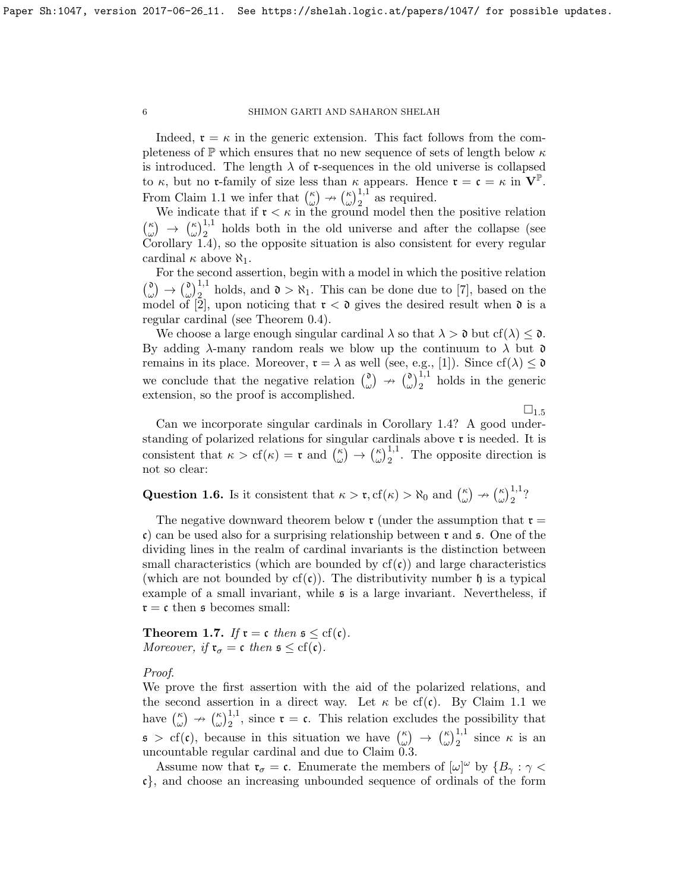Indeed,  $\mathfrak{r} = \kappa$  in the generic extension. This fact follows from the completeness of  $\mathbb P$  which ensures that no new sequence of sets of length below  $\kappa$ is introduced. The length  $\lambda$  of r-sequences in the old universe is collapsed to  $\kappa$ , but no **r**-family of size less than  $\kappa$  appears. Hence  $\mathbf{r} = \mathbf{c} = \kappa$  in  $\mathbf{V}^{\mathbb{P}}$ . From Claim [1.1](#page-3-0) we infer that  $\binom{\kappa}{\omega}$  $\binom{\kappa}{\omega} \nrightarrow \binom{\kappa}{\omega}$  $\int_{\omega}^{\kappa}$  as required.

We indicate that if  $\mathfrak{r} < \kappa$  in the ground model then the positive relation  $\binom{\kappa}{\kappa}$  $\binom{\kappa}{\omega} \rightarrow \binom{\kappa}{\omega}$  $\omega_{\omega}^{(1)}$ <sup>1,1</sup> holds both in the old universe and after the collapse (see Corollary [1.4\)](#page-4-1), so the opposite situation is also consistent for every regular cardinal  $\kappa$  above  $\aleph_1$ .

For the second assertion, begin with a model in which the positive relation  $\binom{0}{0}$  $\begin{smallmatrix} \mathfrak{d} \ \omega \end{smallmatrix} \rightarrow \begin{smallmatrix} \mathfrak{d} \ \omega \end{smallmatrix}$  $\omega_{1,2}^{(0)}$  holds, and  $0 > \aleph_1$ . This can be done due to [\[7\]](#page-11-1), based on the model of [\[2\]](#page-11-6), upon noticing that  $\mathfrak{r} < \mathfrak{d}$  gives the desired result when  $\mathfrak{d}$  is a regular cardinal (see Theorem [0.4\)](#page-1-1).

We choose a large enough singular cardinal  $\lambda$  so that  $\lambda > 0$  but cf( $\lambda$ )  $\leq 0$ . By adding  $\lambda$ -many random reals we blow up the continuum to  $\lambda$  but  $\mathfrak d$ remains in its place. Moreover,  $\mathfrak{r} = \lambda$  as well (see, e.g., [\[1\]](#page-11-3)). Since  $cf(\lambda) \leq \mathfrak{d}$ we conclude that the negative relation  $\binom{0}{\alpha}$  $\begin{pmatrix} 0 \\ \omega \end{pmatrix}$   $\rightarrow$   $\begin{pmatrix} 0 \\ \omega \end{pmatrix}$  $\omega$ <sub>2</sub><sup>1,1</sup> holds in the generic extension, so the proof is accomplished.

 $\square_{1.5}$  $\square_{1.5}$  $\square_{1.5}$ 

Can we incorporate singular cardinals in Corollary [1.4?](#page-4-1) A good understanding of polarized relations for singular cardinals above r is needed. It is consistent that  $\kappa > cf(\kappa) = \mathfrak{r}$  and  $\binom{\kappa}{\omega}$  $\binom{\kappa}{\omega} \rightarrow \binom{\kappa}{\omega}$  $\left(\begin{array}{c} \kappa \\ \omega \end{array}\right)$ <sup>1,1</sup>. The opposite direction is not so clear:

Question 1.6. Is it consistent that  $\kappa > \mathfrak{r}, \text{cf}(\kappa) > \aleph_0$  and  $\binom{\kappa}{\omega}$  $\binom{\kappa}{\omega} \nrightarrow \binom{\kappa}{\omega}$  $(\omega)\frac{1}{2}$ ?

The negative downward theorem below  $\mathfrak{r}$  (under the assumption that  $\mathfrak{r} =$ c) can be used also for a surprising relationship between  $\mathfrak{r}$  and  $\mathfrak{s}$ . One of the dividing lines in the realm of cardinal invariants is the distinction between small characteristics (which are bounded by  $cf(c)$ ) and large characteristics (which are not bounded by  $cf(c)$ ). The distributivity number h is a typical example of a small invariant, while s is a large invariant. Nevertheless, if  $\mathfrak{r} = \mathfrak{c}$  then  $\mathfrak{s}$  becomes small:

<span id="page-5-0"></span>Theorem 1.7. If  $\mathfrak{r} = \mathfrak{c}$  then  $\mathfrak{s} \leq \text{cf}(\mathfrak{c})$ . Moreover, if  $\mathfrak{r}_{\sigma} = \mathfrak{c}$  then  $\mathfrak{s} \leq \text{cf}(\mathfrak{c})$ .

Proof.

We prove the first assertion with the aid of the polarized relations, and the second assertion in a direct way. Let  $\kappa$  be cf(c). By Claim [1.1](#page-3-0) we have  $\binom{\kappa}{\omega} \nrightarrow \binom{\kappa}{\omega}^{1,1}$ , since  $\mathfrak{r} = \mathfrak{c}$ . This relation excludes the possibility that ω)  $\rightarrow$  (ω)  $_2$  $\mathfrak{s} > \text{cf}(\mathfrak{c})$ , because in this situation we have  $\binom{\kappa}{\omega}$  $\binom{\kappa}{\omega} \rightarrow \binom{\kappa}{\omega}$  $\left(\begin{smallmatrix} \kappa \\ \omega \end{smallmatrix}\right)^{1,1}$  since  $\kappa$  is an uncountable regular cardinal and due to Claim [0.3.](#page-1-0)

Assume now that  $\mathfrak{r}_{\sigma} = \mathfrak{c}$ . Enumerate the members of  $[\omega]^{\omega}$  by  $\{B_{\gamma} : \gamma < \mathfrak{c}\}$ c}, and choose an increasing unbounded sequence of ordinals of the form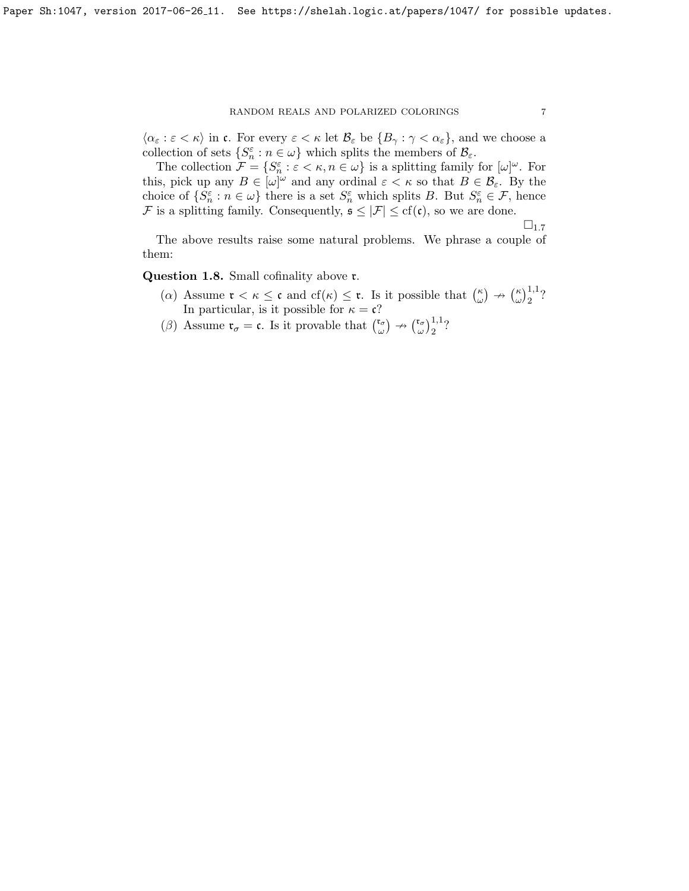# RANDOM REALS AND POLARIZED COLORINGS  $\hspace{2.5cm} 7$

 $\langle \alpha_{\varepsilon} : \varepsilon < \kappa \rangle$  in c. For every  $\varepsilon < \kappa$  let  $\mathcal{B}_{\varepsilon}$  be  $\{B_{\gamma} : \gamma < \alpha_{\varepsilon}\}\)$ , and we choose a collection of sets  $\{S_n^{\varepsilon} : n \in \omega\}$  which splits the members of  $\mathcal{B}_{\varepsilon}$ .

The collection  $\mathcal{F} = \{S_n^{\varepsilon} : \varepsilon < \kappa, n \in \omega\}$  is a splitting family for  $[\omega]^{\omega}$ . For this, pick up any  $B \in [\omega]^{\omega}$  and any ordinal  $\varepsilon < \kappa$  so that  $B \in \mathcal{B}_{\varepsilon}$ . By the choice of  $\{S_n^{\varepsilon} : n \in \omega\}$  there is a set  $S_n^{\varepsilon}$  which splits B. But  $S_n^{\varepsilon} \in \mathcal{F}$ , hence F is a splitting family. Consequently,  $\mathfrak{s} \leq |\mathcal{F}| \leq cf(\mathfrak{c})$ , so we are done.

 $\square_{1.7}$  $\square_{1.7}$  $\square_{1.7}$ 

The above results raise some natural problems. We phrase a couple of them:

Question 1.8. Small cofinality above r.

- ( $\alpha$ ) Assume  $\mathfrak{r} < \kappa \leq \mathfrak{c}$  and  $cf(\kappa) \leq \mathfrak{r}$ . Is it possible that  $\binom{\kappa}{\kappa}$  $\binom{\kappa}{\omega} \rightarrow \binom{\kappa}{\omega}$  $(\omega)\frac{1}{2}$ ? In particular, is it possible for  $\kappa = \mathfrak{c}$ ?
- (β) Assume  $\mathfrak{r}_{\sigma} = \mathfrak{c}$ . Is it provable that  $\binom{\mathfrak{r}_{\sigma}}{\omega}$  $\begin{pmatrix} \mathfrak{r}_{\sigma} \\ \omega \end{pmatrix} \rightarrow \begin{pmatrix} \mathfrak{r}_{\sigma} \\ \omega \end{pmatrix}$  $(\omega)\frac{1}{2}$ ?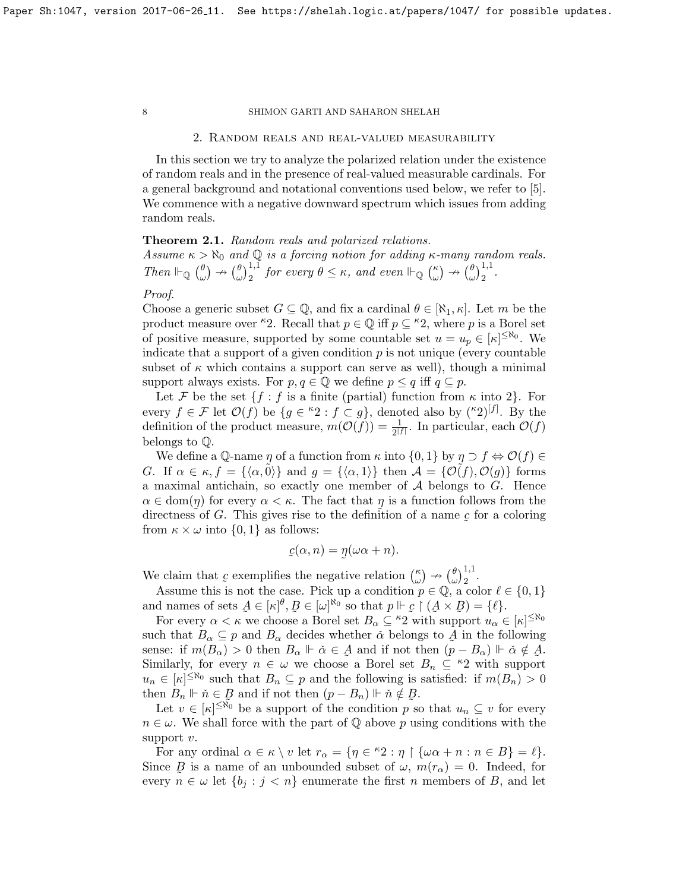#### 2. Random reals and real-valued measurability

In this section we try to analyze the polarized relation under the existence of random reals and in the presence of real-valued measurable cardinals. For a general background and notational conventions used below, we refer to [\[5\]](#page-11-7). We commence with a negative downward spectrum which issues from adding random reals.

# <span id="page-7-0"></span>Theorem 2.1. Random reals and polarized relations.

Assume  $\kappa > \aleph_0$  and  $\mathbb Q$  is a forcing notion for adding  $\kappa$ -many random reals. Then  $\mathbb{H}_{\mathbb{Q}}$   $\left(\begin{matrix} \theta \\ \vdots \end{matrix}\right)$  $\begin{pmatrix} \theta \\ \omega \end{pmatrix} \nrightarrow \begin{pmatrix} \theta \\ \omega \end{pmatrix}$  $\int_{\omega}^{\theta}$ ,  $\int_{2}^{1,1}$  for every  $\theta \leq \kappa$ , and even  $\mathbb{H}_{\mathbb{Q}}$   $\int_{\omega}^{\kappa}$  $\begin{pmatrix} \kappa \\ \omega \end{pmatrix} \nrightarrow \begin{pmatrix} \theta \\ \omega \end{pmatrix}$  $\frac{\theta}{\omega}\Big)_{2}^{1,1}.$ 

# Proof.

Choose a generic subset  $G \subseteq \mathbb{Q}$ , and fix a cardinal  $\theta \in [\aleph_1, \kappa]$ . Let m be the product measure over <sup> $k$ </sup>2. Recall that  $p \in \mathbb{Q}$  iff  $p \subseteq k$ <sup>2</sup>, where p is a Borel set of positive measure, supported by some countable set  $u = u_p \in [\kappa]^{\leq \aleph_0}$ . We indicate that a support of a given condition  $p$  is not unique (every countable subset of  $\kappa$  which contains a support can serve as well), though a minimal support always exists. For  $p, q \in \mathbb{Q}$  we define  $p \leq q$  iff  $q \subseteq p$ .

Let F be the set  $\{f : f$  is a finite (partial) function from  $\kappa$  into 2. For every  $f \in \mathcal{F}$  let  $\mathcal{O}(f)$  be  $\{g \in {}^{\kappa}2 : f \subset g\}$ , denoted also by  $({}^{\kappa}2)^{[f]}$ . By the definition of the product measure,  $m(\mathcal{O}(f)) = \frac{1}{2^{|f|}}$ . In particular, each  $\mathcal{O}(f)$ belongs to Q.

We define a Q-name  $\eta$  of a function from  $\kappa$  into  $\{0,1\}$  by  $\eta \supset f \Leftrightarrow \mathcal{O}(f) \in$ G. If  $\alpha \in \kappa$ ,  $f = {\langle \alpha, 0 \rangle}$  and  $g = {\langle \alpha, 1 \rangle}$  then  $\mathcal{A} = {\{\mathcal{O}(f), \mathcal{O}(g)\}}$  forms a maximal antichain, so exactly one member of  $A$  belongs to  $G$ . Hence  $\alpha \in \text{dom}(\eta)$  for every  $\alpha < \kappa$ . The fact that  $\eta$  is a function follows from the directness of G. This gives rise to the definition of a name  $\mathcal{L}$  $\tilde{\phantom{a}}$ for a coloring from  $\kappa \times \omega$  into  $\{0, 1\}$  as follows:

$$
c(\alpha, n) = \eta(\omega \alpha + n).
$$

We claim that c exemplifies the negative relation  $\binom{\kappa}{\omega}$  $\begin{pmatrix} \kappa \\ \omega \end{pmatrix} \nrightarrow \begin{pmatrix} \theta \\ \omega \end{pmatrix}$  $\left(\begin{smallmatrix} \theta \\ \omega \end{smallmatrix}\right)^{1,1}$ .

Assume this is not the case. Pick up a condition  $p \in \mathbb{Q}$ , a color  $\ell \in \{0, 1\}$ and names of sets  $A \in [\kappa]^{\theta}, B \in [\omega]^{\aleph_0}$  so that  $p \Vdash \mathcal{L} \restriction (A \times B) = \{\ell\}.$ 

For every  $\alpha < \kappa$  we choose a Borel set  $B_{\alpha} \subseteq {}^{\kappa_2}2$  with support  $u_{\alpha} \in [\kappa]^{ \leq \aleph_0}$ such that  $B_{\alpha} \subseteq p$  and  $B_{\alpha}$  decides whether  $\check{\alpha}$  belongs to  $A$  in the following sense: if  $m(B_{\alpha}) > 0$  then  $B_{\alpha} \Vdash \check{\alpha} \in \mathcal{A}$  and if not then  $(p - B_{\alpha}) \Vdash \check{\alpha} \notin \mathcal{A}$ . Similarly, for every  $n \in \omega$  we choose a Borel set  $B_n \subseteq \kappa_2$  with support  $u_n \in [\kappa]^{\leq \aleph_0}$  such that  $B_n \subseteq p$  and the following is satisfied: if  $m(B_n) > 0$ then  $B_n \Vdash \check{n} \in \mathcal{B}$  and if not then  $(p - B_n) \Vdash \check{n} \notin \mathcal{B}$ .

Let  $v \in [\kappa]^{\leq \widetilde{\aleph}_0}$  be a support of the condition p so that  $u_n \subseteq v$  for every  $n \in \omega$ . We shall force with the part of Q above p using conditions with the support  $v$ .

For any ordinal  $\alpha \in \kappa \setminus v$  let  $r_{\alpha} = \{ \eta \in {}^{\kappa}2 : \eta \upharpoonright \{ \omega \alpha + n : n \in B \} = \ell \}.$ Since  $\mathcal{B}$  is a name of an unbounded subset of  $\omega$ ,  $m(r_{\alpha}) = 0$ . Indeed, for every  $n \in \omega$  let  $\{b_j : j < n\}$  enumerate the first n members of B, and let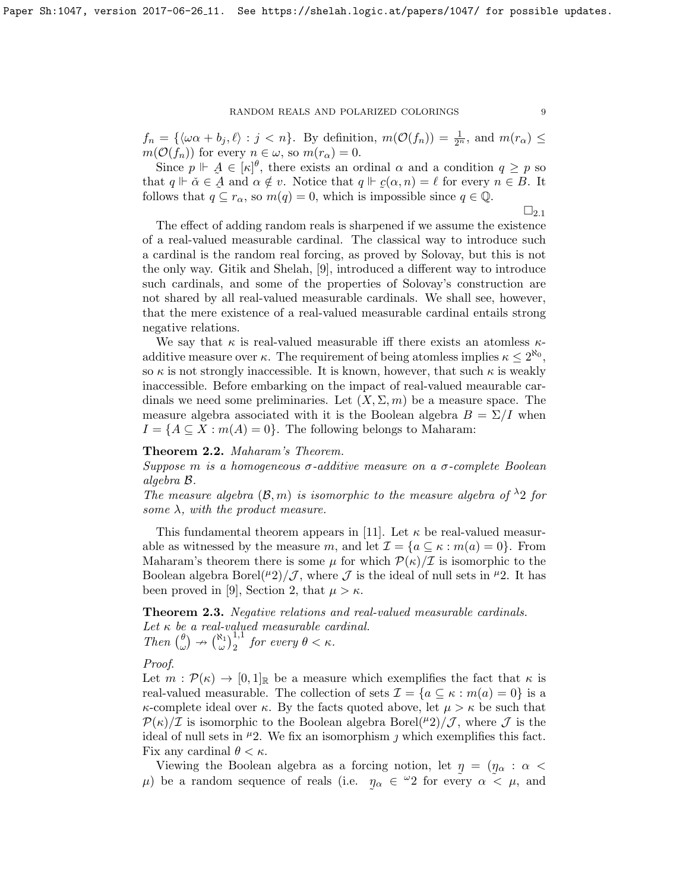$f_n = \{\langle \omega \alpha + b_j, \ell \rangle : j < n\}.$  By definition,  $m(\mathcal{O}(f_n)) = \frac{1}{2^n}$ , and  $m(r_\alpha) \leq$  $m(\mathcal{O}(f_n))$  for every  $n \in \omega$ , so  $m(r_\alpha) = 0$ .

Since  $p \Vdash \mathcal{A} \in [\kappa]^{\theta}$ , there exists an ordinal  $\alpha$  and a condition  $q \geq p$  so that  $q \Vdash \check{\alpha} \in \check{A}$  and  $\alpha \notin v$ . Notice that  $q \Vdash \underline{c}(\alpha, n) = \ell$  for every  $n \in B$ . It follows that  $q \subseteq r_\alpha$ , so  $m(q) = 0$ , which is impossible since  $q \in \mathbb{Q}$ .

 $\square_{2.1}$  $\square_{2.1}$  $\square_{2.1}$ 

The effect of adding random reals is sharpened if we assume the existence of a real-valued measurable cardinal. The classical way to introduce such a cardinal is the random real forcing, as proved by Solovay, but this is not the only way. Gitik and Shelah, [\[9\]](#page-11-8), introduced a different way to introduce such cardinals, and some of the properties of Solovay's construction are not shared by all real-valued measurable cardinals. We shall see, however, that the mere existence of a real-valued measurable cardinal entails strong negative relations.

We say that  $\kappa$  is real-valued measurable iff there exists an atomless  $\kappa$ additive measure over  $\kappa$ . The requirement of being atomless implies  $\kappa \leq 2^{\aleph_0}$ , so  $\kappa$  is not strongly inaccessible. It is known, however, that such  $\kappa$  is weakly inaccessible. Before embarking on the impact of real-valued meaurable cardinals we need some preliminaries. Let  $(X, \Sigma, m)$  be a measure space. The measure algebra associated with it is the Boolean algebra  $B = \Sigma / I$  when  $I = \{A \subseteq X : m(A) = 0\}$ . The following belongs to Maharam:

Theorem 2.2. Maharam's Theorem.

Suppose m is a homogeneous  $\sigma$ -additive measure on a  $\sigma$ -complete Boolean algebra B.

The measure algebra  $(\mathcal{B}, m)$  is isomorphic to the measure algebra of  $\lambda_2$  for some  $\lambda$ , with the product measure.

This fundamental theorem appears in [\[11\]](#page-11-9). Let  $\kappa$  be real-valued measurable as witnessed by the measure m, and let  $\mathcal{I} = \{a \subseteq \kappa : m(a) = 0\}$ . From Maharam's theorem there is some  $\mu$  for which  $\mathcal{P}(\kappa)/\mathcal{I}$  is isomorphic to the Boolean algebra Borel( $\mu$ 2)/ $\mathcal{J}$ , where  $\mathcal{J}$  is the ideal of null sets in  $\mu$ 2. It has been proved in [\[9\]](#page-11-8), Section 2, that  $\mu > \kappa$ .

<span id="page-8-0"></span>Theorem 2.3. Negative relations and real-valued measurable cardinals. Let  $\kappa$  be a real-valued measurable cardinal. Then  $\binom{\theta}{\omega}$  $\begin{pmatrix} \theta \\ \omega \end{pmatrix} \rightarrow \begin{pmatrix} \aleph_1 \\ \omega \end{pmatrix} \begin{pmatrix} 1,1 \\ 2 \end{pmatrix}$  for every  $\theta < \kappa$ .

Proof.

Let  $m : \mathcal{P}(\kappa) \to [0,1]_{\mathbb{R}}$  be a measure which exemplifies the fact that  $\kappa$  is real-valued measurable. The collection of sets  $\mathcal{I} = \{a \subseteq \kappa : m(a) = 0\}$  is a  $\kappa$ -complete ideal over  $\kappa$ . By the facts quoted above, let  $\mu > \kappa$  be such that  $\mathcal{P}(\kappa)/\mathcal{I}$  is isomorphic to the Boolean algebra Borel( $\mu$ 2)/ $\mathcal{J}$ , where  $\mathcal{J}$  is the ideal of null sets in  $\mu$ 2. We fix an isomorphism  $\jmath$  which exemplifies this fact. Fix any cardinal  $\theta < \kappa$ .

Viewing the Boolean algebra as a forcing notion, let  $\eta = (\eta_{\alpha} : \alpha$  $\mu$ ) be a random sequence of reals (i.e.  $\eta_{\alpha} \in {}^{\omega_2}2$  for every  $\alpha \times \mu$ , and  $\tilde{\phantom{a}}$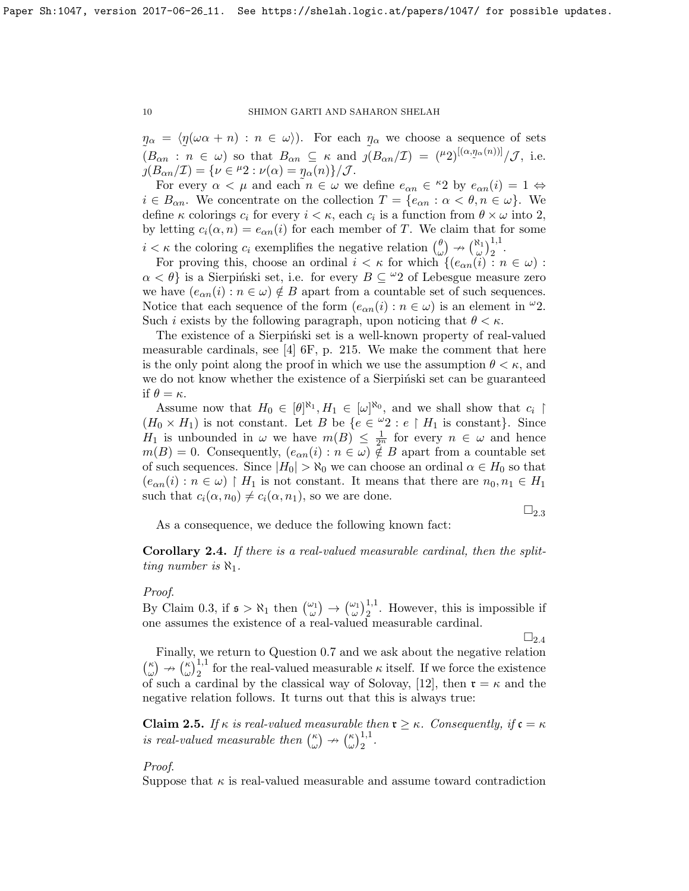$\eta_{\alpha} = \langle \eta(\omega \alpha + n) : n \in \omega \rangle$ . For each  $\eta_{\alpha}$  we choose a sequence of sets  $(B_{\alpha n} : n \in \omega)$  so that  $B_{\alpha n} \subseteq \kappa$  and  $\tilde{j}(B_{\alpha n}/\mathcal{I}) = {\mu_2}^{[(\alpha, \eta_{\alpha}(n))]}/\mathcal{J}$ , i.e.  $\jmath(B_{\alpha n}/\mathcal{I}) = {\nu \in {}^{\mu}2 : \nu(\alpha) = \eta_{\alpha}(n)}/{\mathcal{J}}.$ 

For every  $\alpha < \mu$  and each  $n \in \omega$  we define  $e_{\alpha n} \in {}^{\kappa}2$  by  $e_{\alpha n}(i) = 1 \Leftrightarrow$  $i \in B_{\alpha n}$ . We concentrate on the collection  $T = \{e_{\alpha n} : \alpha < \theta, n \in \omega\}$ . We define  $\kappa$  colorings  $c_i$  for every  $i < \kappa$ , each  $c_i$  is a function from  $\theta \times \omega$  into 2, by letting  $c_i(\alpha, n) = e_{\alpha n}(i)$  for each member of T. We claim that for some  $i < \kappa$  the coloring  $c_i$  exemplifies the negative relation  $\begin{pmatrix} \theta \\ \theta \end{pmatrix}$  $\begin{pmatrix} \theta \\ \omega \end{pmatrix} \rightarrow \begin{pmatrix} \aleph_1 \\ \omega \end{pmatrix} \begin{pmatrix} 1,1 \\ 2 \end{pmatrix}.$ 

For proving this, choose an ordinal  $i < \kappa$  for which  $\{(e_{\alpha n}(i) : n \in \omega):$  $\alpha < \theta$  is a Sierpinski set, i.e. for every  $B \subseteq \mathcal{L}2$  of Lebesgue measure zero we have  $(e_{\alpha n}(i) : n \in \omega) \notin B$  apart from a countable set of such sequences. Notice that each sequence of the form  $(e_{\alpha n}(i) : n \in \omega)$  is an element in  $\omega_2$ . Such *i* exists by the following paragraph, upon noticing that  $\theta < \kappa$ .

The existence of a Sierpinski set is a well-known property of real-valued measurable cardinals, see  $[4]$  6F, p. 215. We make the comment that here is the only point along the proof in which we use the assumption  $\theta < \kappa$ , and we do not know whether the existence of a Sierpinski set can be guaranteed if  $\theta = \kappa$ .

Assume now that  $H_0 \in [\theta]^{\aleph_1}, H_1 \in [\omega]^{\aleph_0}$ , and we shall show that  $c_i \restriction$  $(H_0 \times H_1)$  is not constant. Let B be  $\{e \in \omega_2 : e \restriction H_1 \text{ is constant}\}.$  Since  $H_1$  is unbounded in  $\omega$  we have  $m(B) \leq \frac{1}{2^n}$  for every  $n \in \omega$  and hence  $m(B) = 0$ . Consequently,  $(e_{\alpha n}(i) : n \in \omega) \notin B$  apart from a countable set of such sequences. Since  $|H_0| > \aleph_0$  we can choose an ordinal  $\alpha \in H_0$  so that  $(e_{\alpha n}(i) : n \in \omega) \upharpoonright H_1$  is not constant. It means that there are  $n_0, n_1 \in H_1$ such that  $c_i(\alpha, n_0) \neq c_i(\alpha, n_1)$ , so we are done.

 $\square_{2.3}$  $\square_{2.3}$  $\square_{2.3}$ 

As a consequence, we deduce the following known fact:

<span id="page-9-0"></span>Corollary 2.4. If there is a real-valued measurable cardinal, then the splitting number is  $\aleph_1$ .

### Proof.

By Claim [0.3,](#page-1-0) if  $\mathfrak{s} > \aleph_1$  then  $\begin{pmatrix} \omega_1 \\ \omega \end{pmatrix} \rightarrow \begin{pmatrix} \omega_1 \\ \omega \end{pmatrix}_2^1$ . However, this is impossible if one assumes the existence of a real-valued measurable cardinal.

 $\square_{2,4}$  $\square_{2,4}$  $\square_{2,4}$ 

Finally, we return to Question [0.7](#page-2-0) and we ask about the negative relation  $\binom{\kappa}{\kappa}$  $\binom{\kappa}{\omega} \nrightarrow \binom{\kappa}{\omega}$  $\frac{\kappa}{\omega}$ <sub>2</sub><sup>1,1</sup> for the real-valued measurable κ itself. If we force the existence of such a cardinal by the classical way of Solovay, [\[12\]](#page-11-11), then  $\mathfrak{r} = \kappa$  and the negative relation follows. It turns out that this is always true:

<span id="page-9-1"></span>**Claim 2.5.** If  $\kappa$  is real-valued measurable then  $\mathfrak{r} \geq \kappa$ . Consequently, if  $\mathfrak{c} = \kappa$ is real-valued measurable then  $\binom{\kappa}{\omega}$  $\binom{\kappa}{\omega} \nrightarrow \binom{\kappa}{\omega}$  $\int_{\omega}^{\kappa}$ ) $\frac{1}{2}$ .

# Proof.

Suppose that  $\kappa$  is real-valued measurable and assume toward contradiction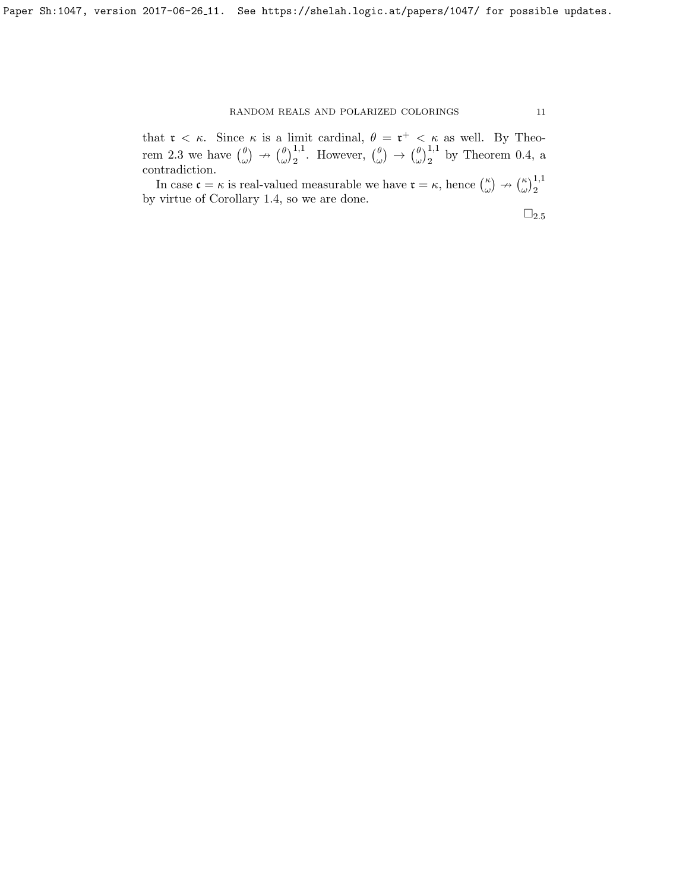that  $\mathfrak{r} < \kappa$ . Since  $\kappa$  is a limit cardinal,  $\theta = \mathfrak{r}^+ < \kappa$  as well. By Theo-rem [2.3](#page-8-0) we have  $\begin{pmatrix} \theta \\ \phi \end{pmatrix}$  $\begin{pmatrix} \theta \\ \omega \end{pmatrix} \rightarrow \begin{pmatrix} \theta \\ \omega \end{pmatrix}$  $\left(\begin{matrix} \theta \\ \omega \end{matrix}\right)_2^{1,1}$ . However,  $\left(\begin{matrix} \theta \\ \omega \end{matrix}\right)_2$  $\begin{array}{c} \theta \\ \omega \end{array} \big) \rightarrow \big( \begin{array}{c} \theta \\ \omega \end{array} \big)$  $\binom{\theta}{\omega}_2^{1,1}$  by Theorem [0.4,](#page-1-1) a contradiction.

In case  $\mathfrak{c} = \kappa$  is real-valued measurable we have  $\mathfrak{r} = \kappa$ , hence  $\binom{\kappa}{\omega}$  $\binom{\kappa}{\omega} \nrightarrow \binom{\kappa}{\omega}$  $\left(\frac{\kappa}{\omega}\right)^{1,1}_2$ by virtue of Corollary [1.4,](#page-4-1) so we are done.

 $\square_{2.5}$  $\square_{2.5}$  $\square_{2.5}$